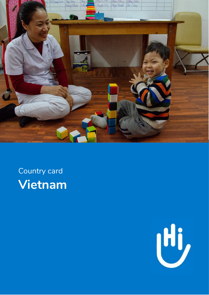

## Country card **Vietnam**

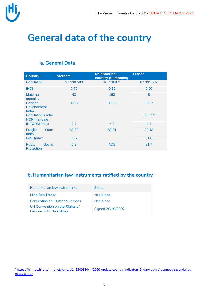

 $\overline{a}$ 

## **General data of the country**

| Country <sup>1</sup>                         | <b>Vietnam</b> | <b>Neighboring</b><br>country (Cambodia) | <b>France</b> |  |
|----------------------------------------------|----------------|------------------------------------------|---------------|--|
| Population                                   | 97.338.583     | 16.718.971                               | 67.391.582    |  |
| <b>IHDI</b>                                  | 0.70           | 0.59                                     | 0.90          |  |
| <b>Maternal</b><br>mortality                 | 43             | 160                                      | 8             |  |
| Gender<br><b>Development</b><br><b>Index</b> | 0.997          | 0.922                                    | 0.987         |  |
| Population under<br><b>HCR</b> mandate       |                |                                          | 368,352       |  |
| <b>INFORM</b> index                          | 3.7            | 4.7                                      | 2.2           |  |
| <b>State</b><br>Fragile<br><b>Index</b>      | 63.89          | 80.31                                    | 30.48         |  |
| <b>GINI Index</b>                            | 35.7           |                                          | 31.6          |  |
| Social<br><b>Public</b><br><b>Protection</b> | 6.3            | <b>ADB</b>                               | 31.7          |  |

#### **b. Humanitarian law instruments ratified by the country**

| Humanitarian law instruments                                       | <b>Status</b>     |
|--------------------------------------------------------------------|-------------------|
| Mine Ban Treaty                                                    | Not joined        |
| <b>Convention on Cluster Munitions</b>                             | Not joined        |
| UN Convention on the Rights of<br><b>Persons with Disabilities</b> | Signed 20/10/2007 |

<sup>&</sup>lt;sup>1</sup> [https://hinside.hi.org/intranet/jcms/pl1\\_2540344/fr/2020-update-country-indicators-2ndary-data-/-donnees-secondaires](https://hinside.hi.org/intranet/jcms/pl1_2540344/fr/2020-update-country-indicators-2ndary-data-/-donnees-secondaires-mises-a-jour)[mises-a-jour](https://hinside.hi.org/intranet/jcms/pl1_2540344/fr/2020-update-country-indicators-2ndary-data-/-donnees-secondaires-mises-a-jour)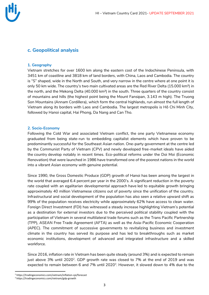

#### **c. Geopolitical analysis**

#### **1. Geography**

Vietnam stretches for over 1600 km along the eastern cost of the Indochinese Peninsula, with 3451 km of coastline and 3818 km of land borders, with China, Laos and Cambodia. The country is "S" shaped, wide in the North and South, and very narrow in the centre where at one point it is only 50 km wide. The country's two main cultivated areas are the Red River Delta (15.000 km²) in the north, and the Mekong Delta (40.000 km²) in the south. Three quarters of the country consist of mountains and hills (the highest point being the Mount Fansipan, 3.143 m high). The Truong Son Mountains (Annam Cordillera), which form the central highlands, run almost the full length of Vietnam along its borders with Laos and Cambodia. The largest metropolis is Hô Chi Minh City, followed by Hanoi capital, Hai Phong, Da Nang and Can Tho.

#### **2. Socio-Economy**

Following the Cold War and associated Vietnam conflict, the one party Vietnamese economy graduated from being state-run to embedding capitalist elements which have proven to be predominantly successful for the Southeast Asian nation. One-party government at the centre led by the Communist Party of Vietnam (CPV) and newly developed free-market ideals have aided the country develop notably in recent times. Eco-political reforms under the Doi Moi (Economic Renovation) that were launched in 1986 have transformed one of the poorest nations in the world into a vibrant Asian economy with genuine potential.

Since 1990, the Gross Domestic Produce (GDP) growth of Hanoi has been among the largest in the world that averaged 6.4 percent per year in the 2000's. A significant reduction in the poverty rate coupled with an egalitarian developmental approach have led to equitable growth bringing approximately 40 million Vietnamese citizens out of poverty since the unification of the country. Infrastructural and social development of the population has also seen a relative upward shift as 99% of the population receives electricity while approximately 62% have access to clean water. Foreign Direct Investment (FDI) has witnessed a steady increase highlighting Vietnam's potential as a destination for external investors due to the perceived political stability coupled with the participation of Vietnam in several multilateral trade forums such as the Trans Pacific Partnership (TPP), ASEAN Free Trade Agreement (AFTA) as well as the Asia-Pacific Economic Cooperation (APEC). The commitment of successive governments to revitalizing business and investment climate in the country has served its purpose and has led to breakthroughs such as market economic institutions, development of advanced and integrated infrastructure and a skilled workforce.

Since 2016, inflation rate in Vietnam has been quite steady (around 3%) and is expected to remain just above 3% until 2020<sup>2</sup>. GDP growth rate was closed to 7% at the end of 2019 and was expected to remain between 6 and 7% until 2020<sup>3</sup>. However, it slowed down to 4% due to the

 $\overline{a}$ 

<sup>2</sup> https://tradingeconomics.com/vietnam/inflation-cpi/forecast

<sup>3</sup> https://tradingeconomics.com/vietnam/gdp-growth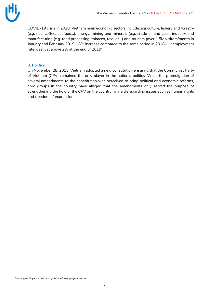

COVID-19 crisis in 2020. Vietnam main economic sectors include: agriculture, fishery and forestry (e.g. rice, coffee, seafood…), energy, mining and minerals (e.g. crude oil and coal), industry and manufacturing (e.g. food processing, tobacco, textiles…) and tourism (over 1.5M visitors/month in January and February 2019 – 8% increase compared to the same period in 2018). Unemployment rate was just above 2% at the end of 2019 $^{\rm 4}$ .

#### **3. Politics**

On November 28, 2013, Vietnam adopted a new constitution ensuring that the Communist Party of Vietnam (CPV) remained the only player in the nation's politics. While the promulgation of several amendments to the constitution was perceived to bring political and economic reforms, civic groups in the country have alleged that the amendments only served the purpose of strengthening the hold of the CPV on the country, while disregarding issues such as human rights and freedom of expression.

 $\overline{a}$ 

<sup>4</sup> https://tradingeconomics.com/vietnam/unemployment-rate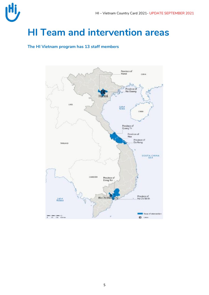

## **HI Team and intervention areas**

#### **The HI Vietnam program has 13 staff members**

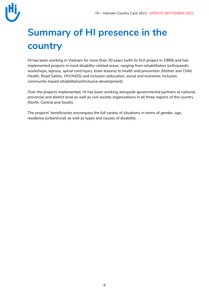

# **Summary of HI presence in the country**

HI has been working in Vietnam for more than 30 years (with its first project in 1989) and has implemented projects in most disability-related areas, ranging from rehabilitation (orthopaedic workshops, leprosy, spinal cord injury, brain lesions) to health and prevention (Mother and Child Health, Road Safety, HIV/AIDS) and inclusion (education, social and economic inclusion, community-based rehabilitation/inclusive development).

Over the projects implemented, HI has been working alongside governmental partners at national, provincial and district level as well as civil society organizations in all three regions of the country (North, Central and South).

The projects' beneficiaries encompass the full variety of situations in terms of gender, age, residence (urban/rural) as well as types and causes of disability.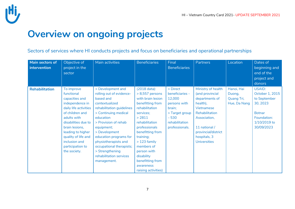## **Overview on ongoing projects**

Sectors of services where HI conducts projects and focus on beneficiaries and operational partnerships

| Main sectors of<br>intervention | Objective of<br>project in the<br>sector                                                                                                                                                                                                                           | Main activities                                                                                                                                                                                                                                                                                                                                  | <b>Beneficiaries</b>                                                                                                                                                                                                                                                                                        | Final<br><b>Beneficiaries</b>                                                                                                   | <b>Partners</b>                                                                                                                                                                                    | Location                                           | Dates of<br>beginning and<br>end of the<br>project and<br>donors                                                           |
|---------------------------------|--------------------------------------------------------------------------------------------------------------------------------------------------------------------------------------------------------------------------------------------------------------------|--------------------------------------------------------------------------------------------------------------------------------------------------------------------------------------------------------------------------------------------------------------------------------------------------------------------------------------------------|-------------------------------------------------------------------------------------------------------------------------------------------------------------------------------------------------------------------------------------------------------------------------------------------------------------|---------------------------------------------------------------------------------------------------------------------------------|----------------------------------------------------------------------------------------------------------------------------------------------------------------------------------------------------|----------------------------------------------------|----------------------------------------------------------------------------------------------------------------------------|
| <b>Rehabilitation</b>           | To improve<br>functional<br>capacities and<br>independence in<br>daily life activities<br>of children and<br>adults with<br>disabilities due to<br>brain lesions,<br>leading to higher<br>quality of life and<br>inclusion and<br>participation to<br>the society. | > Development and<br>rolling out of evidence-<br>based and<br>contextualized<br>rehabilitation guidelines<br>> Continuing medical<br>education<br>> Provision of rehab<br>equipment;<br>> Development<br>education programs for<br>physiotherapists and<br>occupational therapists;<br>> Strengthening<br>rehabilitation services<br>management. | (2018 data):<br>$> 8,557$ persons<br>with brain lesion<br>benefitting from<br>rehabilitation<br>services;<br>> 2811<br>rehabilitation<br>professionals<br>benefitting from<br>training;<br>$>123$ family<br>members of<br>person with<br>disability<br>benefitting from<br>awareness<br>raising activities) | > Direct<br>beneficiaries -<br>12,000<br>persons with<br>brain;<br>> Target group<br>$-530$<br>rehabilitation<br>professionals. | Ministry of health<br>(and provincial<br>departments of<br>health),<br>Vietnamese<br>Rehabilitation<br>Association,<br>11 national /<br>provincial/district<br>hospitals, 3<br><b>Universities</b> | Hanoi, Hai<br>Duong,<br>Quang Tri,<br>Hue, Da Nang | <b>USAID:</b><br>October 1, 2015<br>to September<br>30, 2023<br><b>Botnar</b><br>Foundation:<br>1/10/2019 to<br>30/09/2023 |